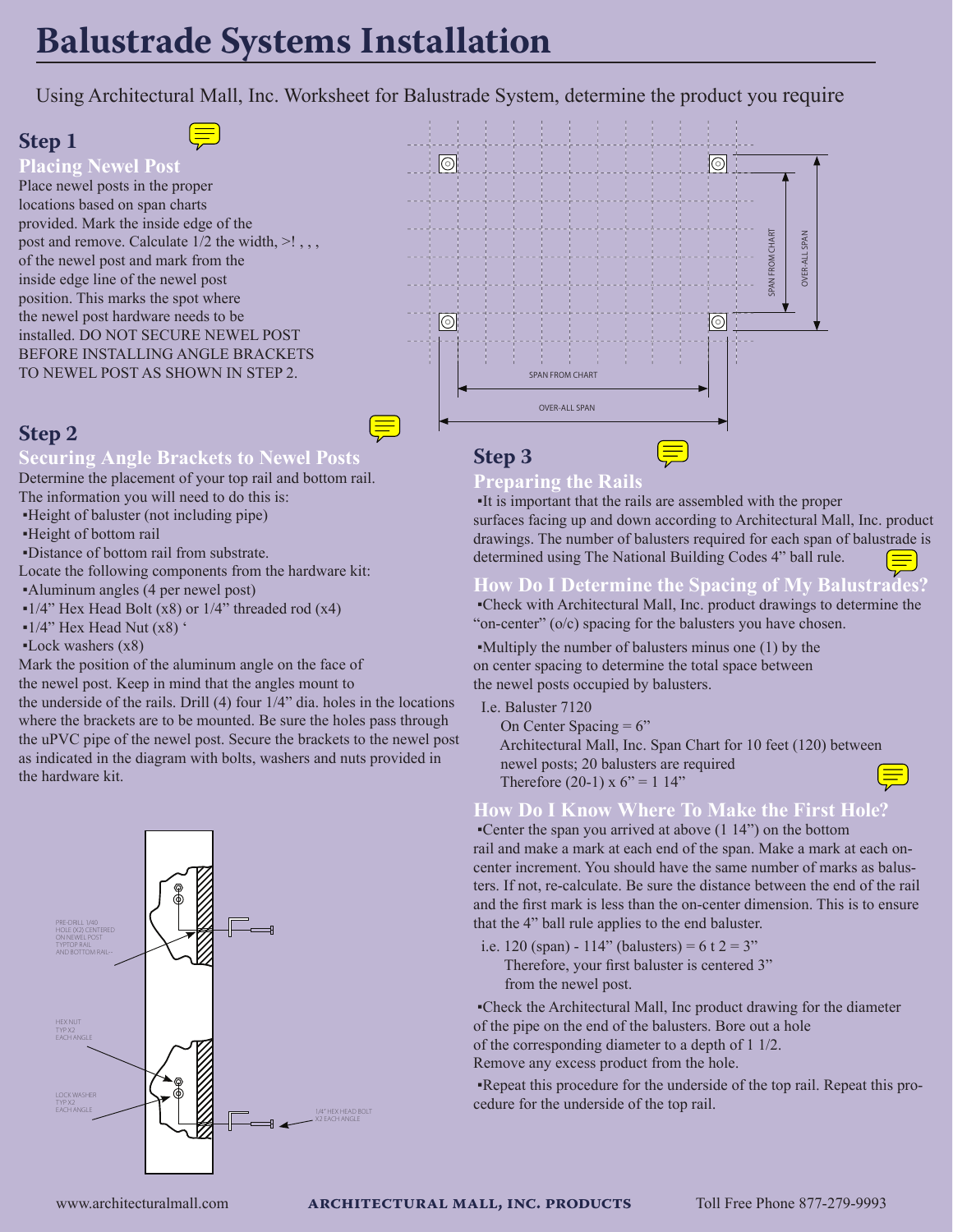# **Balustrade Systems Installation**

Using Architectural Mall, Inc. Worksheet for Balustrade System, determine the product you require

## **Step 1**

#### **Placing Newel Post**

Place newel posts in the proper locations based on span charts provided. Mark the inside edge of the post and remove. Calculate 1/2 the width,  $>!$ ,, of the newel post and mark from the inside edge line of the newel post position. This marks the spot where the newel post hardware needs to be installed. DO NOT SECURE NEWEL POST BEFORE INSTALLING ANGLE BRACKETS TO NEWEL POST AS SHOWN IN STEP 2.

## **Step 2**

#### **Securing Angle Brackets to Newel Posts**

Determine the placement of your top rail and bottom rail. The information you will need to do this is:

- ▪Height of baluster (not including pipe)
- ▪Height of bottom rail
- ▪Distance of bottom rail from substrate.

Locate the following components from the hardware kit: ▪Aluminum angles (4 per newel post)

- $\bullet$ 1/4" Hex Head Bolt (x8) or 1/4" threaded rod (x4)
- $\bullet$ 1/4" Hex Head Nut (x8)  $\degree$
- $\text{Lock washers (x8)}$

Mark the position of the aluminum angle on the face of the newel post. Keep in mind that the angles mount to the underside of the rails. Drill (4) four 1/4" dia. holes in the locations where the brackets are to be mounted. Be sure the holes pass through the uPVC pipe of the newel post. Secure the brackets to the newel post as indicated in the diagram with bolts, washers and nuts provided in the hardware kit.





## **Step 3**

#### **Preparing the Rails**

 ▪It is important that the rails are assembled with the proper surfaces facing up and down according to Architectural Mall, Inc. product drawings. The number of balusters required for each span of balustrade is determined using The National Building Codes 4" ball rule.

## **How Do I Determine the Spacing of My Balustrades?**

 ▪Check with Architectural Mall, Inc. product drawings to determine the "on-center" (o/c) spacing for the balusters you have chosen.

 ▪Multiply the number of balusters minus one (1) by the on center spacing to determine the total space between the newel posts occupied by balusters.

- I.e. Baluster 7120
	- On Center Spacing  $= 6$ "
	- Architectural Mall, Inc. Span Chart for 10 feet (120) between newel posts; 20 balusters are required
	- Therefore (20-1) x  $6'' = 1$  14"

### **How Do I Know Where To Make the First Hole?**

 ▪Center the span you arrived at above (1 14") on the bottom rail and make a mark at each end of the span. Make a mark at each oncenter increment. You should have the same number of marks as balusters. If not, re-calculate. Be sure the distance between the end of the rail and the first mark is less than the on-center dimension. This is to ensure that the 4" ball rule applies to the end baluster.

i.e. 120 (span) - 114" (balusters) =  $6 \tcdot 2 = 3$ " Therefore, your first baluster is centered 3" from the newel post.

 ▪Check the Architectural Mall, Inc product drawing for the diameter of the pipe on the end of the balusters. Bore out a hole

of the corresponding diameter to a depth of 1 1/2.

Remove any excess product from the hole.

 ▪Repeat this procedure for the underside of the top rail. Repeat this procedure for the underside of the top rail.